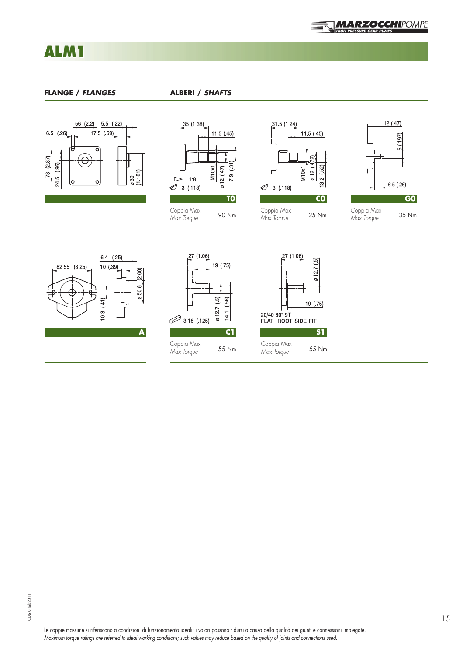

ALM1 ALM1

## **FLANGE /** *FLANGES* **ALBERI /** *SHAFTS*











| lam<br>7<br>o nc a | 27 (1.06)<br>3.18 (.125) | 19 (.75)<br>012.7(5)<br>(56)<br>14.1 | 27 (1.06)<br>20/40-30°-9T<br>FLAT ROOT SIDE FIT | 012.7(5)<br>19 (.75) |
|--------------------|--------------------------|--------------------------------------|-------------------------------------------------|----------------------|
| A                  |                          | C1                                   |                                                 | <b>S1</b>            |
|                    | Coppia Max<br>Max Torque | 55 Nm                                | Coppia Max<br>Max Torque                        | 55 Nm                |